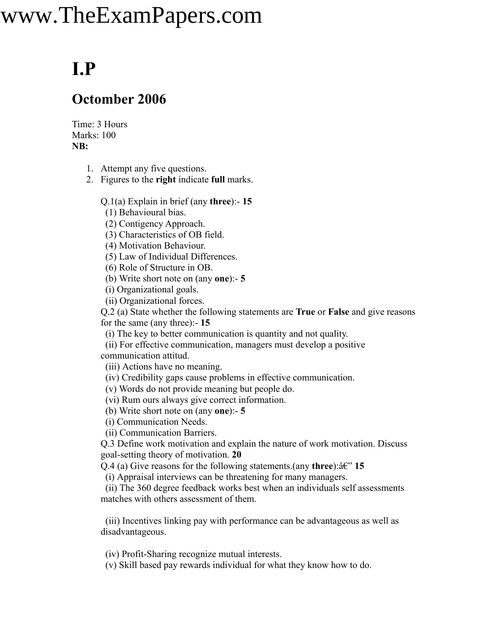## www.TheExamPapers.com

## **I.P**

## **Octomber 2006**

Time: 3 Hours Marks: 100 **NB:**

- 1. Attempt any five questions.
- 2. Figures to the **right** indicate **full** marks.

Q.1(a) Explain in brief (any **three**):- **15**

(1) Behavioural bias.

(2) Contigency Approach.

(3) Characteristics of OB field.

(4) Motivation Behaviour.

(5) Law of Individual Differences.

(6) Role of Structure in OB.

(b) Write short note on (any **one**):- **5**

(i) Organizational goals.

(ii) Organizational forces.

Q.2 (a) State whether the following statements are **True** or **False** and give reasons for the same (any three):- **15**

(i) The key to better communication is quantity and not quality.

(ii) For effective communication, managers must develop a positive communication attitud.

(iii) Actions have no meaning.

(iv) Credibility gaps cause problems in effective communication.

(v) Words do not provide meaning but people do.

(vi) Rum ours always give correct information.

(b) Write short note on (any **one**):- **5**

(i) Communication Needs.

(ii) Communication Barriers.

Q.3 Define work motivation and explain the nature of work motivation. Discuss goal-setting theory of motivation. **20**

Q.4 (a) Give reasons for the following statements.(any **three**): $\hat{a} \in \mathbb{C}^n$  15

(i) Appraisal interviews can be threatening for many managers.

(ii) The 360 degree feedback works best when an individuals self assessments matches with others assessment of them.

(iii) Incentives linking pay with performance can be advantageous as well as disadvantageous.

(iv) Profit-Sharing recognize mutual interests.

(v) Skill based pay rewards individual for what they know how to do.